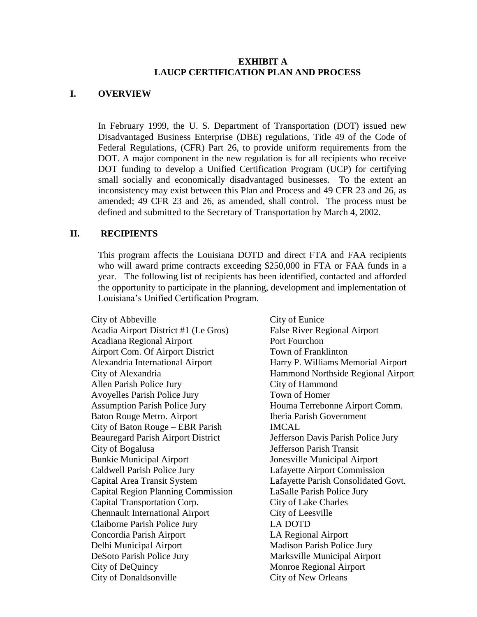#### **EXHIBIT A LAUCP CERTIFICATION PLAN AND PROCESS**

#### **I. OVERVIEW**

In February 1999, the U. S. Department of Transportation (DOT) issued new Disadvantaged Business Enterprise (DBE) regulations, Title 49 of the Code of Federal Regulations, (CFR) Part 26, to provide uniform requirements from the DOT. A major component in the new regulation is for all recipients who receive DOT funding to develop a Unified Certification Program (UCP) for certifying small socially and economically disadvantaged businesses. To the extent an inconsistency may exist between this Plan and Process and 49 CFR 23 and 26, as amended; 49 CFR 23 and 26, as amended, shall control. The process must be defined and submitted to the Secretary of Transportation by March 4, 2002.

### **II. RECIPIENTS**

This program affects the Louisiana DOTD and direct FTA and FAA recipients who will award prime contracts exceeding \$250,000 in FTA or FAA funds in a year. The following list of recipients has been identified, contacted and afforded the opportunity to participate in the planning, development and implementation of Louisiana's Unified Certification Program.

City of Abbeville Acadia Airport District #1 (Le Gros) Acadiana Regional Airport Airport Com. Of Airport District Alexandria International Airport City of Alexandria Allen Parish Police Jury Avoyelles Parish Police Jury Assumption Parish Police Jury Baton Rouge Metro. Airport City of Baton Rouge – EBR Parish Beauregard Parish Airport District City of Bogalusa Bunkie Municipal Airport Caldwell Parish Police Jury Capital Area Transit System Capital Region Planning Commission Capital Transportation Corp. Chennault International Airport Claiborne Parish Police Jury Concordia Parish Airport Delhi Municipal Airport DeSoto Parish Police Jury City of DeQuincy City of Donaldsonville

City of Eunice False River Regional Airport Port Fourchon Town of Franklinton Harry P. Williams Memorial Airport Hammond Northside Regional Airport City of Hammond Town of Homer Houma Terrebonne Airport Comm. Iberia Parish Government **IMCAL** Jefferson Davis Parish Police Jury Jefferson Parish Transit Jonesville Municipal Airport Lafayette Airport Commission Lafayette Parish Consolidated Govt. LaSalle Parish Police Jury City of Lake Charles City of Leesville LA DOTD LA Regional Airport Madison Parish Police Jury Marksville Municipal Airport Monroe Regional Airport City of New Orleans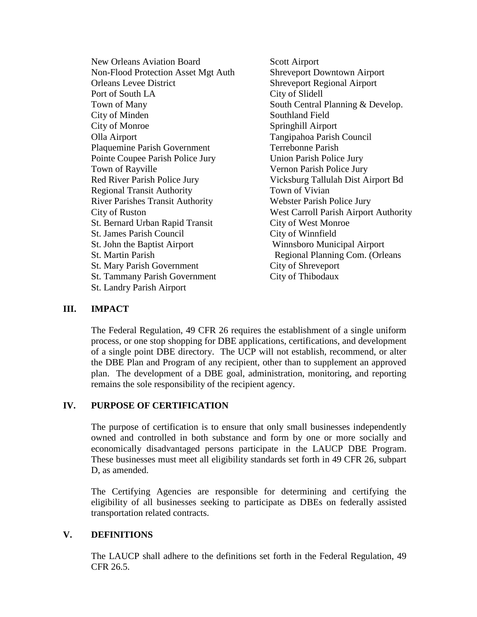New Orleans Aviation Board Non-Flood Protection Asset Mgt Auth Orleans Levee District Port of South LA Town of Many City of Minden City of Monroe Olla Airport Plaquemine Parish Government Pointe Coupee Parish Police Jury Town of Rayville Red River Parish Police Jury Regional Transit Authority River Parishes Transit Authority City of Ruston St. Bernard Urban Rapid Transit St. James Parish Council St. John the Baptist Airport St. Martin Parish St. Mary Parish Government St. Tammany Parish Government St. Landry Parish Airport

Scott Airport Shreveport Downtown Airport Shreveport Regional Airport City of Slidell South Central Planning & Develop. Southland Field Springhill Airport Tangipahoa Parish Council Terrebonne Parish Union Parish Police Jury Vernon Parish Police Jury Vicksburg Tallulah Dist Airport Bd Town of Vivian Webster Parish Police Jury West Carroll Parish Airport Authority City of West Monroe City of Winnfield Winnsboro Municipal Airport Regional Planning Com. (Orleans City of Shreveport City of Thibodaux

#### **III. IMPACT**

The Federal Regulation, 49 CFR 26 requires the establishment of a single uniform process, or one stop shopping for DBE applications, certifications, and development of a single point DBE directory. The UCP will not establish, recommend, or alter the DBE Plan and Program of any recipient, other than to supplement an approved plan. The development of a DBE goal, administration, monitoring, and reporting remains the sole responsibility of the recipient agency.

#### **IV. PURPOSE OF CERTIFICATION**

The purpose of certification is to ensure that only small businesses independently owned and controlled in both substance and form by one or more socially and economically disadvantaged persons participate in the LAUCP DBE Program. These businesses must meet all eligibility standards set forth in 49 CFR 26, subpart D, as amended.

The Certifying Agencies are responsible for determining and certifying the eligibility of all businesses seeking to participate as DBEs on federally assisted transportation related contracts.

#### **V. DEFINITIONS**

The LAUCP shall adhere to the definitions set forth in the Federal Regulation, 49 CFR 26.5.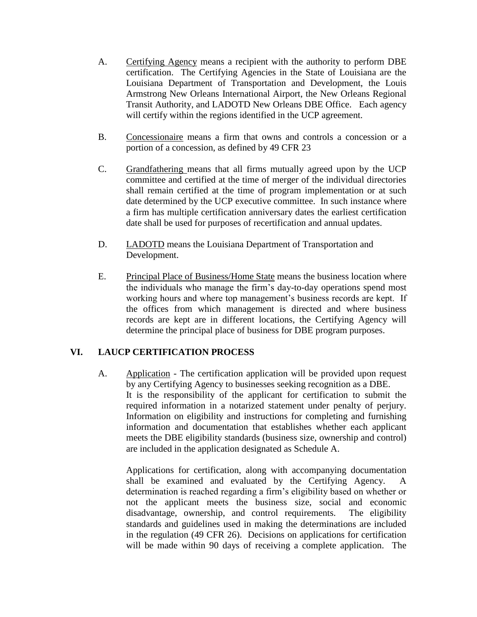- A. Certifying Agency means a recipient with the authority to perform DBE certification. The Certifying Agencies in the State of Louisiana are the Louisiana Department of Transportation and Development, the Louis Armstrong New Orleans International Airport, the New Orleans Regional Transit Authority, and LADOTD New Orleans DBE Office. Each agency will certify within the regions identified in the UCP agreement.
- B. Concessionaire means a firm that owns and controls a concession or a portion of a concession, as defined by 49 CFR 23
- C. Grandfathering means that all firms mutually agreed upon by the UCP committee and certified at the time of merger of the individual directories shall remain certified at the time of program implementation or at such date determined by the UCP executive committee. In such instance where a firm has multiple certification anniversary dates the earliest certification date shall be used for purposes of recertification and annual updates.
- D. LADOTD means the Louisiana Department of Transportation and Development.
- E. Principal Place of Business/Home State means the business location where the individuals who manage the firm's day-to-day operations spend most working hours and where top management's business records are kept. If the offices from which management is directed and where business records are kept are in different locations, the Certifying Agency will determine the principal place of business for DBE program purposes.

# **VI. LAUCP CERTIFICATION PROCESS**

A. Application - The certification application will be provided upon request by any Certifying Agency to businesses seeking recognition as a DBE. It is the responsibility of the applicant for certification to submit the required information in a notarized statement under penalty of perjury. Information on eligibility and instructions for completing and furnishing information and documentation that establishes whether each applicant meets the DBE eligibility standards (business size, ownership and control) are included in the application designated as Schedule A.

Applications for certification, along with accompanying documentation shall be examined and evaluated by the Certifying Agency. A determination is reached regarding a firm's eligibility based on whether or not the applicant meets the business size, social and economic disadvantage, ownership, and control requirements. The eligibility standards and guidelines used in making the determinations are included in the regulation (49 CFR 26). Decisions on applications for certification will be made within 90 days of receiving a complete application. The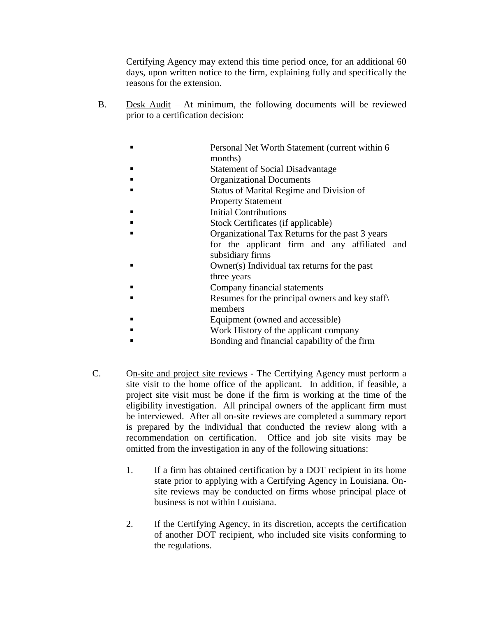Certifying Agency may extend this time period once, for an additional 60 days, upon written notice to the firm, explaining fully and specifically the reasons for the extension.

- B. Desk Audit At minimum, the following documents will be reviewed prior to a certification decision:
	- Personal Net Worth Statement (current within 6 months)
	- Statement of Social Disadvantage
	- Organizational Documents
	- Status of Marital Regime and Division of
	- Property Statement
	- Initial Contributions
	- Stock Certificates (if applicable)
	- Organizational Tax Returns for the past 3 years
		- for the applicant firm and any affiliated and subsidiary firms
	- Owner(s) Individual tax returns for the past three years
	- Company financial statements
	- Resumes for the principal owners and key staff\ members
	- Equipment (owned and accessible)
	- Work History of the applicant company
	- Bonding and financial capability of the firm
- C. On-site and project site reviews The Certifying Agency must perform a site visit to the home office of the applicant. In addition, if feasible, a project site visit must be done if the firm is working at the time of the eligibility investigation. All principal owners of the applicant firm must be interviewed. After all on-site reviews are completed a summary report is prepared by the individual that conducted the review along with a recommendation on certification. Office and job site visits may be omitted from the investigation in any of the following situations:
	- 1. If a firm has obtained certification by a DOT recipient in its home state prior to applying with a Certifying Agency in Louisiana. Onsite reviews may be conducted on firms whose principal place of business is not within Louisiana.
	- 2. If the Certifying Agency, in its discretion, accepts the certification of another DOT recipient, who included site visits conforming to the regulations.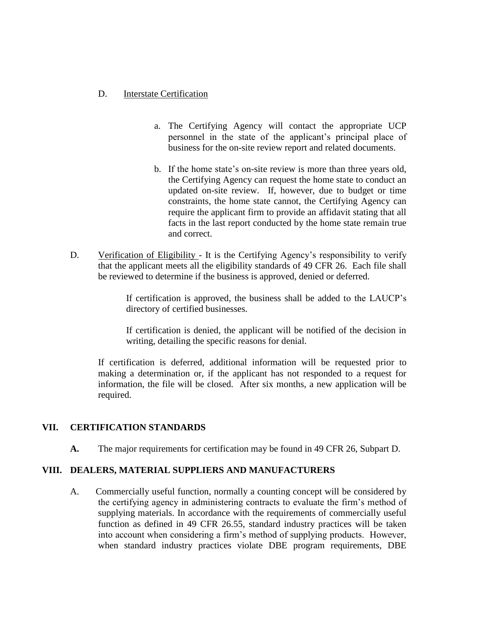### D. Interstate Certification

- a. The Certifying Agency will contact the appropriate UCP personnel in the state of the applicant's principal place of business for the on-site review report and related documents.
- b. If the home state's on-site review is more than three years old, the Certifying Agency can request the home state to conduct an updated on-site review. If, however, due to budget or time constraints, the home state cannot, the Certifying Agency can require the applicant firm to provide an affidavit stating that all facts in the last report conducted by the home state remain true and correct.
- D. Verification of Eligibility It is the Certifying Agency's responsibility to verify that the applicant meets all the eligibility standards of 49 CFR 26. Each file shall be reviewed to determine if the business is approved, denied or deferred.

If certification is approved, the business shall be added to the LAUCP's directory of certified businesses.

If certification is denied, the applicant will be notified of the decision in writing, detailing the specific reasons for denial.

If certification is deferred, additional information will be requested prior to making a determination or, if the applicant has not responded to a request for information, the file will be closed. After six months, a new application will be required.

# **VII. CERTIFICATION STANDARDS**

**A.** The major requirements for certification may be found in 49 CFR 26, Subpart D.

### **VIII. DEALERS, MATERIAL SUPPLIERS AND MANUFACTURERS**

A. Commercially useful function, normally a counting concept will be considered by the certifying agency in administering contracts to evaluate the firm's method of supplying materials. In accordance with the requirements of commercially useful function as defined in 49 CFR 26.55, standard industry practices will be taken into account when considering a firm's method of supplying products. However, when standard industry practices violate DBE program requirements, DBE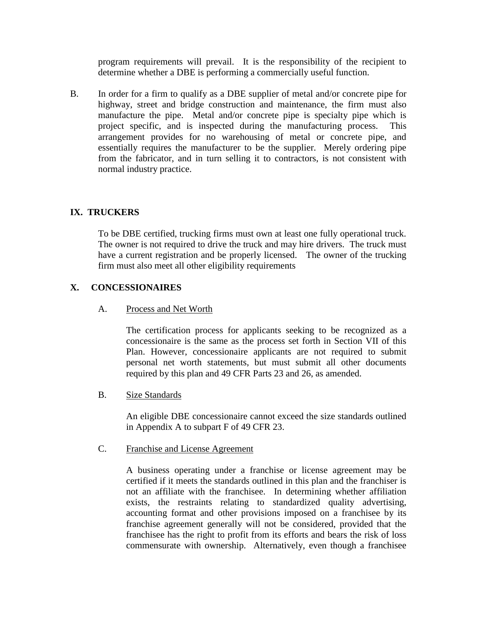program requirements will prevail. It is the responsibility of the recipient to determine whether a DBE is performing a commercially useful function.

B. In order for a firm to qualify as a DBE supplier of metal and/or concrete pipe for highway, street and bridge construction and maintenance, the firm must also manufacture the pipe. Metal and/or concrete pipe is specialty pipe which is project specific, and is inspected during the manufacturing process. This arrangement provides for no warehousing of metal or concrete pipe, and essentially requires the manufacturer to be the supplier. Merely ordering pipe from the fabricator, and in turn selling it to contractors, is not consistent with normal industry practice.

## **IX. TRUCKERS**

To be DBE certified, trucking firms must own at least one fully operational truck. The owner is not required to drive the truck and may hire drivers. The truck must have a current registration and be properly licensed. The owner of the trucking firm must also meet all other eligibility requirements

## **X. CONCESSIONAIRES**

#### A. Process and Net Worth

The certification process for applicants seeking to be recognized as a concessionaire is the same as the process set forth in Section VII of this Plan. However, concessionaire applicants are not required to submit personal net worth statements, but must submit all other documents required by this plan and 49 CFR Parts 23 and 26, as amended.

#### B. Size Standards

An eligible DBE concessionaire cannot exceed the size standards outlined in Appendix A to subpart F of 49 CFR 23.

#### C. Franchise and License Agreement

A business operating under a franchise or license agreement may be certified if it meets the standards outlined in this plan and the franchiser is not an affiliate with the franchisee. In determining whether affiliation exists, the restraints relating to standardized quality advertising, accounting format and other provisions imposed on a franchisee by its franchise agreement generally will not be considered, provided that the franchisee has the right to profit from its efforts and bears the risk of loss commensurate with ownership. Alternatively, even though a franchisee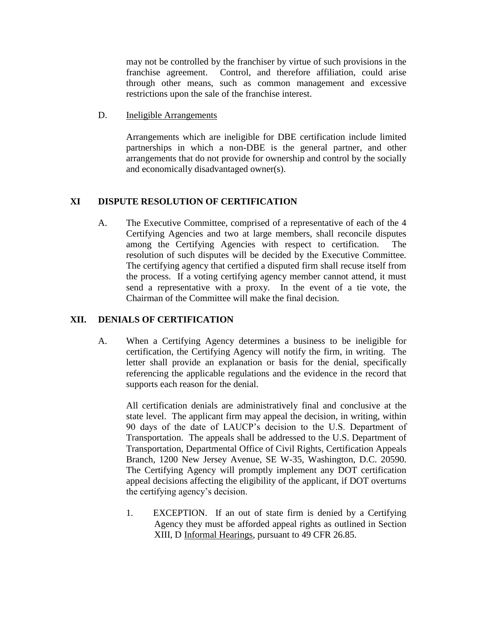may not be controlled by the franchiser by virtue of such provisions in the franchise agreement. Control, and therefore affiliation, could arise through other means, such as common management and excessive restrictions upon the sale of the franchise interest.

D. Ineligible Arrangements

Arrangements which are ineligible for DBE certification include limited partnerships in which a non-DBE is the general partner, and other arrangements that do not provide for ownership and control by the socially and economically disadvantaged owner(s).

# **XI DISPUTE RESOLUTION OF CERTIFICATION**

A. The Executive Committee, comprised of a representative of each of the 4 Certifying Agencies and two at large members, shall reconcile disputes among the Certifying Agencies with respect to certification. The resolution of such disputes will be decided by the Executive Committee. The certifying agency that certified a disputed firm shall recuse itself from the process. If a voting certifying agency member cannot attend, it must send a representative with a proxy. In the event of a tie vote, the Chairman of the Committee will make the final decision.

# **XII. DENIALS OF CERTIFICATION**

A. When a Certifying Agency determines a business to be ineligible for certification, the Certifying Agency will notify the firm, in writing. The letter shall provide an explanation or basis for the denial, specifically referencing the applicable regulations and the evidence in the record that supports each reason for the denial.

All certification denials are administratively final and conclusive at the state level. The applicant firm may appeal the decision, in writing, within 90 days of the date of LAUCP's decision to the U.S. Department of Transportation. The appeals shall be addressed to the U.S. Department of Transportation, Departmental Office of Civil Rights, Certification Appeals Branch, 1200 New Jersey Avenue, SE W-35, Washington, D.C. 20590. The Certifying Agency will promptly implement any DOT certification appeal decisions affecting the eligibility of the applicant, if DOT overturns the certifying agency's decision.

1. EXCEPTION. If an out of state firm is denied by a Certifying Agency they must be afforded appeal rights as outlined in Section XIII, D Informal Hearings, pursuant to 49 CFR 26.85.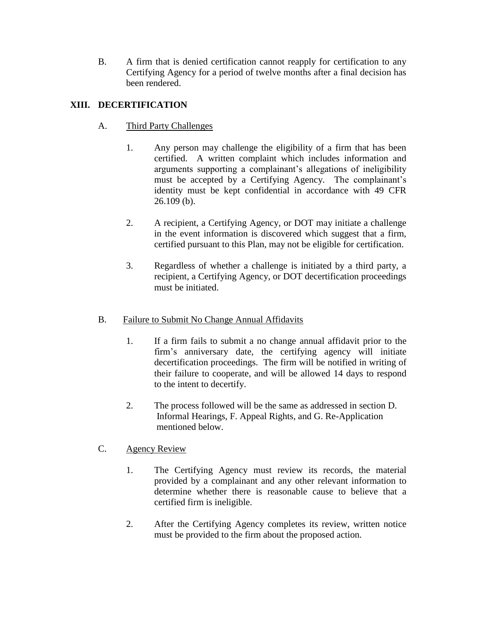B. A firm that is denied certification cannot reapply for certification to any Certifying Agency for a period of twelve months after a final decision has been rendered.

# **XIII. DECERTIFICATION**

# A. Third Party Challenges

- 1. Any person may challenge the eligibility of a firm that has been certified. A written complaint which includes information and arguments supporting a complainant's allegations of ineligibility must be accepted by a Certifying Agency. The complainant's identity must be kept confidential in accordance with 49 CFR 26.109 (b).
- 2. A recipient, a Certifying Agency, or DOT may initiate a challenge in the event information is discovered which suggest that a firm, certified pursuant to this Plan, may not be eligible for certification.
- 3. Regardless of whether a challenge is initiated by a third party, a recipient, a Certifying Agency, or DOT decertification proceedings must be initiated.

# B. Failure to Submit No Change Annual Affidavits

- 1. If a firm fails to submit a no change annual affidavit prior to the firm's anniversary date, the certifying agency will initiate decertification proceedings. The firm will be notified in writing of their failure to cooperate, and will be allowed 14 days to respond to the intent to decertify.
- 2. The process followed will be the same as addressed in section D. Informal Hearings, F. Appeal Rights, and G. Re-Application mentioned below.
- C. Agency Review
	- 1. The Certifying Agency must review its records, the material provided by a complainant and any other relevant information to determine whether there is reasonable cause to believe that a certified firm is ineligible.
	- 2. After the Certifying Agency completes its review, written notice must be provided to the firm about the proposed action.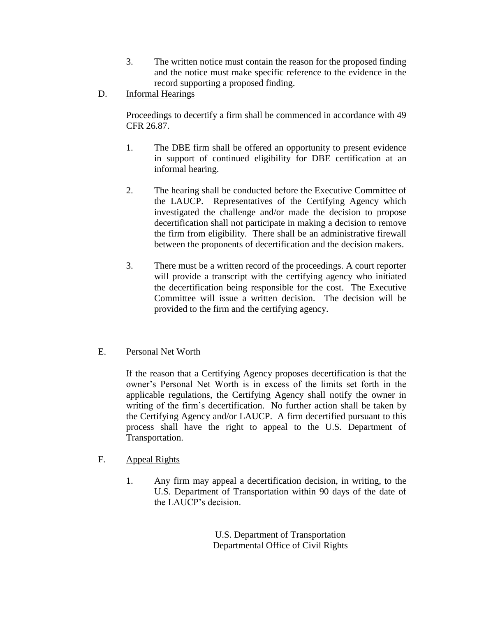- 3. The written notice must contain the reason for the proposed finding and the notice must make specific reference to the evidence in the record supporting a proposed finding.
- D. Informal Hearings

Proceedings to decertify a firm shall be commenced in accordance with 49 CFR 26.87.

- 1. The DBE firm shall be offered an opportunity to present evidence in support of continued eligibility for DBE certification at an informal hearing.
- 2. The hearing shall be conducted before the Executive Committee of the LAUCP. Representatives of the Certifying Agency which investigated the challenge and/or made the decision to propose decertification shall not participate in making a decision to remove the firm from eligibility. There shall be an administrative firewall between the proponents of decertification and the decision makers.
- 3. There must be a written record of the proceedings. A court reporter will provide a transcript with the certifying agency who initiated the decertification being responsible for the cost. The Executive Committee will issue a written decision. The decision will be provided to the firm and the certifying agency.

# E. Personal Net Worth

If the reason that a Certifying Agency proposes decertification is that the owner's Personal Net Worth is in excess of the limits set forth in the applicable regulations, the Certifying Agency shall notify the owner in writing of the firm's decertification. No further action shall be taken by the Certifying Agency and/or LAUCP. A firm decertified pursuant to this process shall have the right to appeal to the U.S. Department of Transportation.

- F. Appeal Rights
	- 1. Any firm may appeal a decertification decision, in writing, to the U.S. Department of Transportation within 90 days of the date of the LAUCP's decision.

U.S. Department of Transportation Departmental Office of Civil Rights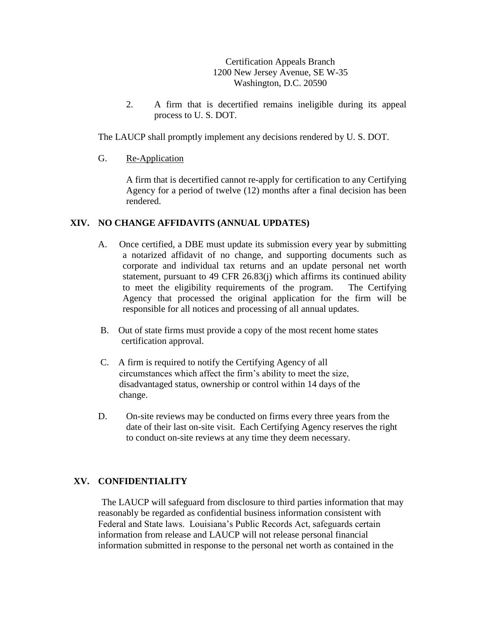Certification Appeals Branch 1200 New Jersey Avenue, SE W-35 Washington, D.C. 20590

2. A firm that is decertified remains ineligible during its appeal process to U. S. DOT.

The LAUCP shall promptly implement any decisions rendered by U. S. DOT.

## G. Re-Application

A firm that is decertified cannot re-apply for certification to any Certifying Agency for a period of twelve (12) months after a final decision has been rendered.

## **XIV. NO CHANGE AFFIDAVITS (ANNUAL UPDATES)**

- A. Once certified, a DBE must update its submission every year by submitting a notarized affidavit of no change, and supporting documents such as corporate and individual tax returns and an update personal net worth statement, pursuant to 49 CFR 26.83(j) which affirms its continued ability to meet the eligibility requirements of the program. The Certifying Agency that processed the original application for the firm will be responsible for all notices and processing of all annual updates.
- B. Out of state firms must provide a copy of the most recent home states certification approval.
- C. A firm is required to notify the Certifying Agency of all circumstances which affect the firm's ability to meet the size, disadvantaged status, ownership or control within 14 days of the change.
- D. On-site reviews may be conducted on firms every three years from the date of their last on-site visit. Each Certifying Agency reserves the right to conduct on-site reviews at any time they deem necessary.

# **XV. CONFIDENTIALITY**

The LAUCP will safeguard from disclosure to third parties information that may reasonably be regarded as confidential business information consistent with Federal and State laws. Louisiana's Public Records Act, safeguards certain information from release and LAUCP will not release personal financial information submitted in response to the personal net worth as contained in the